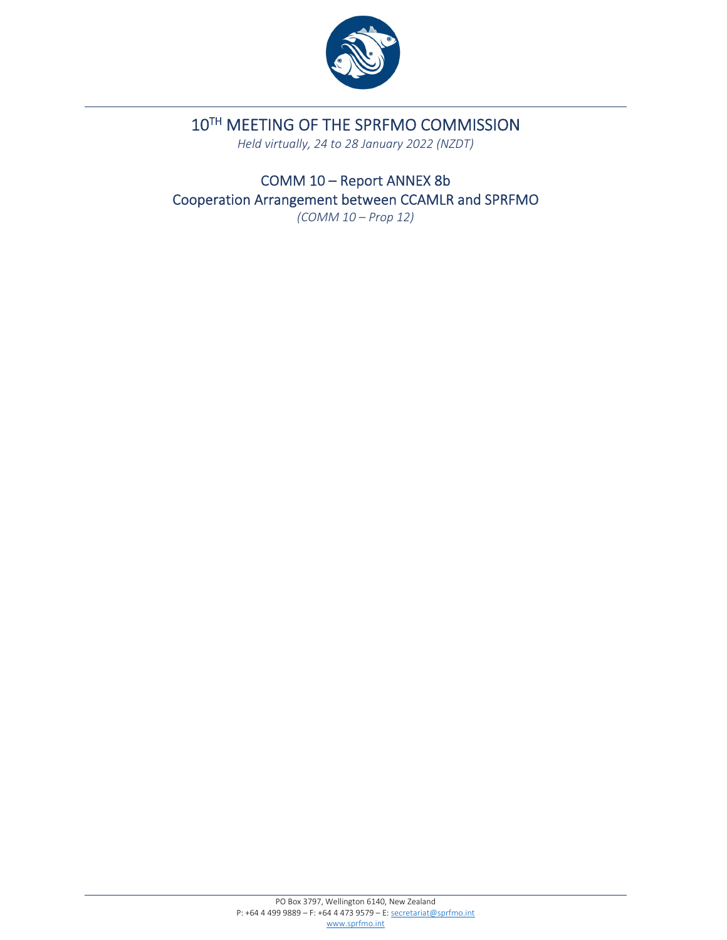

# 10TH MEETING OF THE SPRFMO COMMISSION

*Held virtually, 24 to 28 January 2022 (NZDT)*

COMM 10 – Report ANNEX 8b Cooperation Arrangement between CCAMLR and SPRFMO *(COMM 10 – Prop 12)*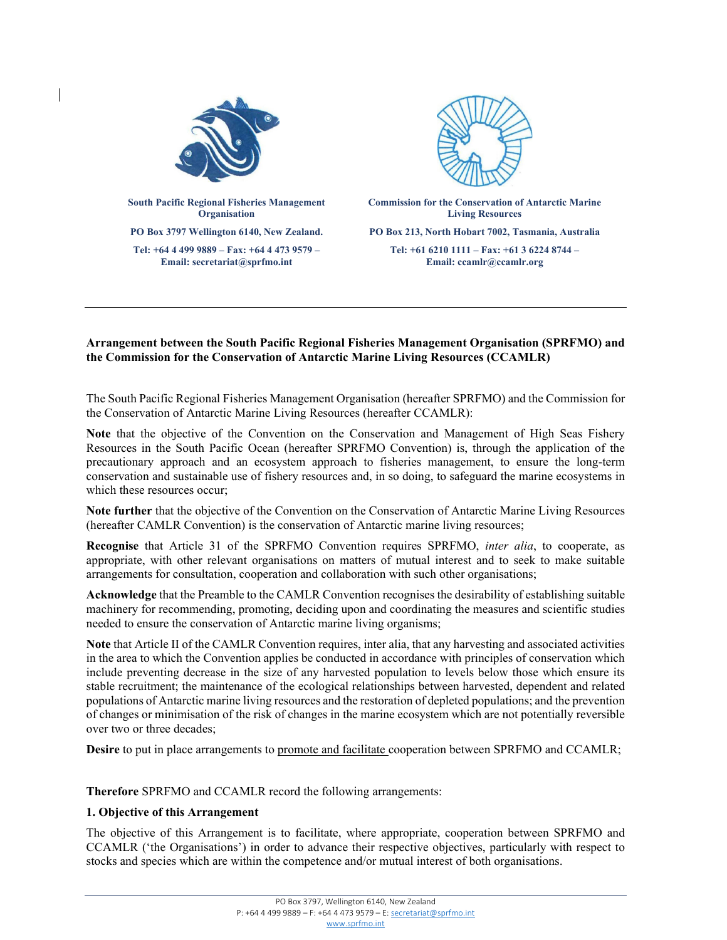

### **Arrangement between the South Pacific Regional Fisheries Management Organisation (SPRFMO) and the Commission for the Conservation of Antarctic Marine Living Resources (CCAMLR)**

The South Pacific Regional Fisheries Management Organisation (hereafter SPRFMO) and the Commission for the Conservation of Antarctic Marine Living Resources (hereafter CCAMLR):

**Note** that the objective of the Convention on the Conservation and Management of High Seas Fishery Resources in the South Pacific Ocean (hereafter SPRFMO Convention) is, through the application of the precautionary approach and an ecosystem approach to fisheries management, to ensure the long-term conservation and sustainable use of fishery resources and, in so doing, to safeguard the marine ecosystems in which these resources occur;

**Note further** that the objective of the Convention on the Conservation of Antarctic Marine Living Resources (hereafter CAMLR Convention) is the conservation of Antarctic marine living resources;

**Recognise** that Article 31 of the SPRFMO Convention requires SPRFMO, *inter alia*, to cooperate, as appropriate, with other relevant organisations on matters of mutual interest and to seek to make suitable arrangements for consultation, cooperation and collaboration with such other organisations;

**Acknowledge** that the Preamble to the CAMLR Convention recognises the desirability of establishing suitable machinery for recommending, promoting, deciding upon and coordinating the measures and scientific studies needed to ensure the conservation of Antarctic marine living organisms;

**Note** that Article II of the CAMLR Convention requires, inter alia, that any harvesting and associated activities in the area to which the Convention applies be conducted in accordance with principles of conservation which include preventing decrease in the size of any harvested population to levels below those which ensure its stable recruitment; the maintenance of the ecological relationships between harvested, dependent and related populations of Antarctic marine living resources and the restoration of depleted populations; and the prevention of changes or minimisation of the risk of changes in the marine ecosystem which are not potentially reversible over two or three decades;

**Desire** to put in place arrangements to promote and facilitate cooperation between SPRFMO and CCAMLR;

**Therefore** SPRFMO and CCAMLR record the following arrangements:

#### **1. Objective of this Arrangement**

The objective of this Arrangement is to facilitate, where appropriate, cooperation between SPRFMO and CCAMLR ('the Organisations') in order to advance their respective objectives, particularly with respect to stocks and species which are within the competence and/or mutual interest of both organisations.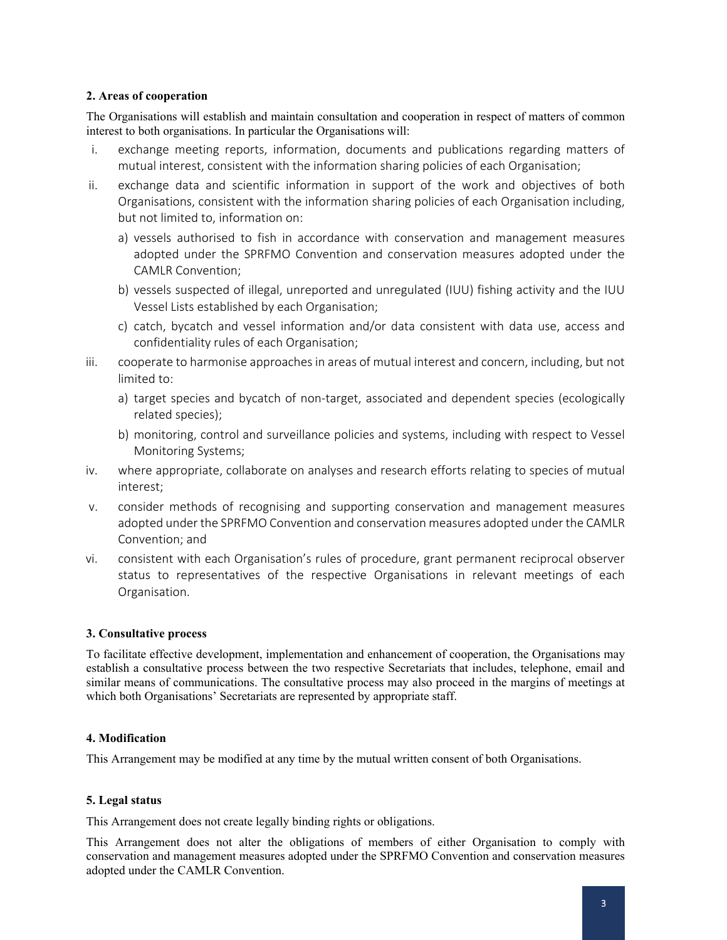#### **2. Areas of cooperation**

The Organisations will establish and maintain consultation and cooperation in respect of matters of common interest to both organisations. In particular the Organisations will:

- i. exchange meeting reports, information, documents and publications regarding matters of mutual interest, consistent with the information sharing policies of each Organisation;
- ii. exchange data and scientific information in support of the work and objectives of both Organisations, consistent with the information sharing policies of each Organisation including, but not limited to, information on:
	- a) vessels authorised to fish in accordance with conservation and management measures adopted under the SPRFMO Convention and conservation measures adopted under the CAMLR Convention;
	- b) vessels suspected of illegal, unreported and unregulated (IUU) fishing activity and the IUU Vessel Lists established by each Organisation;
	- c) catch, bycatch and vessel information and/or data consistent with data use, access and confidentiality rules of each Organisation;
- iii. cooperate to harmonise approaches in areas of mutual interest and concern, including, but not limited to:
	- a) target species and bycatch of non-target, associated and dependent species (ecologically related species);
	- b) monitoring, control and surveillance policies and systems, including with respect to Vessel Monitoring Systems;
- iv. where appropriate, collaborate on analyses and research efforts relating to species of mutual interest;
- v. consider methods of recognising and supporting conservation and management measures adopted under the SPRFMO Convention and conservation measures adopted under the CAMLR Convention; and
- vi. consistent with each Organisation's rules of procedure, grant permanent reciprocal observer status to representatives of the respective Organisations in relevant meetings of each Organisation.

# **3. Consultative process**

To facilitate effective development, implementation and enhancement of cooperation, the Organisations may establish a consultative process between the two respective Secretariats that includes, telephone, email and similar means of communications. The consultative process may also proceed in the margins of meetings at which both Organisations' Secretariats are represented by appropriate staff.

# **4. Modification**

This Arrangement may be modified at any time by the mutual written consent of both Organisations.

# **5. Legal status**

This Arrangement does not create legally binding rights or obligations.

This Arrangement does not alter the obligations of members of either Organisation to comply with conservation and management measures adopted under the SPRFMO Convention and conservation measures adopted under the CAMLR Convention.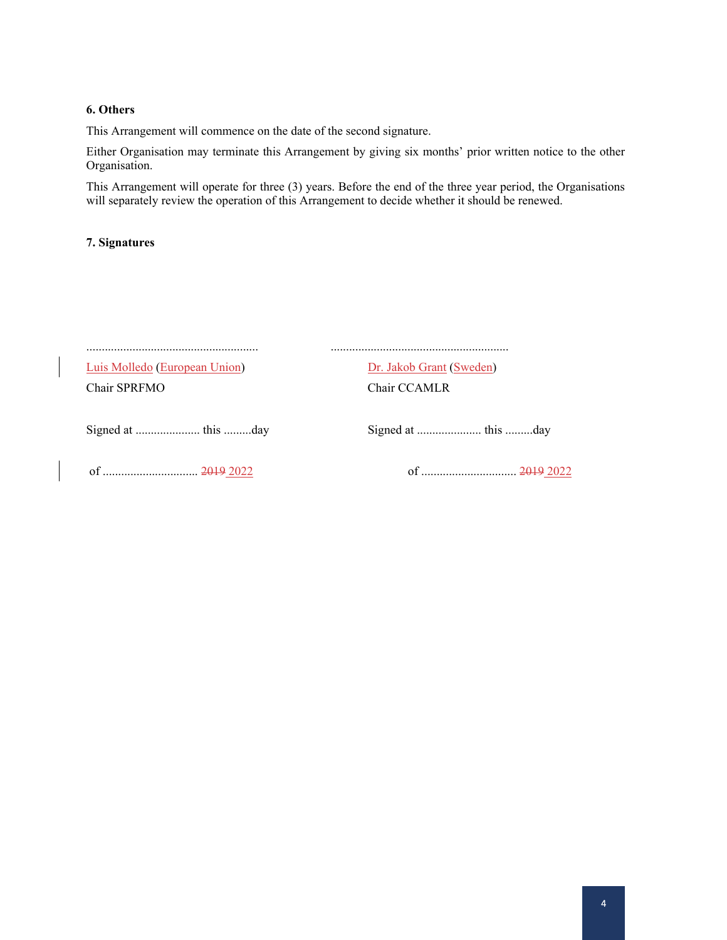#### **6. Others**

This Arrangement will commence on the date of the second signature.

Either Organisation may terminate this Arrangement by giving six months' prior written notice to the other Organisation.

This Arrangement will operate for three (3) years. Before the end of the three year period, the Organisations will separately review the operation of this Arrangement to decide whether it should be renewed.

### **7. Signatures**

| Luis Molledo (European Union) | Dr. Jakob Grant (Sweden) |
|-------------------------------|--------------------------|
| Chair SPRFMO                  | Chair CCAMLR             |
|                               |                          |
|                               |                          |